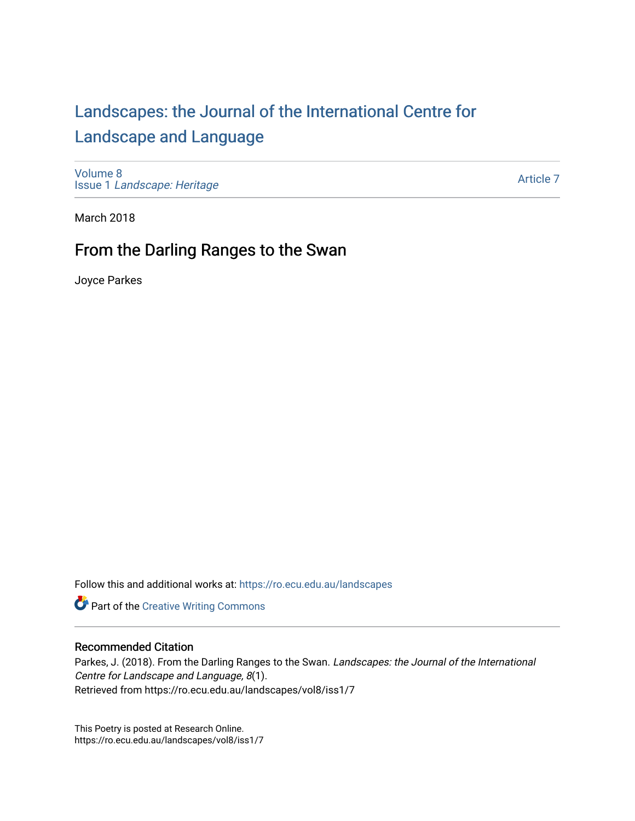## [Landscapes: the Journal of the International Centre for](https://ro.ecu.edu.au/landscapes) [Landscape and Language](https://ro.ecu.edu.au/landscapes)

[Volume 8](https://ro.ecu.edu.au/landscapes/vol8) Issue 1 [Landscape: Heritage](https://ro.ecu.edu.au/landscapes/vol8/iss1)

[Article 7](https://ro.ecu.edu.au/landscapes/vol8/iss1/7) 

March 2018

## From the Darling Ranges to the Swan

Joyce Parkes

Follow this and additional works at: [https://ro.ecu.edu.au/landscapes](https://ro.ecu.edu.au/landscapes?utm_source=ro.ecu.edu.au%2Flandscapes%2Fvol8%2Fiss1%2F7&utm_medium=PDF&utm_campaign=PDFCoverPages) 

Part of the [Creative Writing Commons](http://network.bepress.com/hgg/discipline/574?utm_source=ro.ecu.edu.au%2Flandscapes%2Fvol8%2Fiss1%2F7&utm_medium=PDF&utm_campaign=PDFCoverPages) 

## Recommended Citation

Parkes, J. (2018). From the Darling Ranges to the Swan. Landscapes: the Journal of the International Centre for Landscape and Language, 8(1). Retrieved from https://ro.ecu.edu.au/landscapes/vol8/iss1/7

This Poetry is posted at Research Online. https://ro.ecu.edu.au/landscapes/vol8/iss1/7